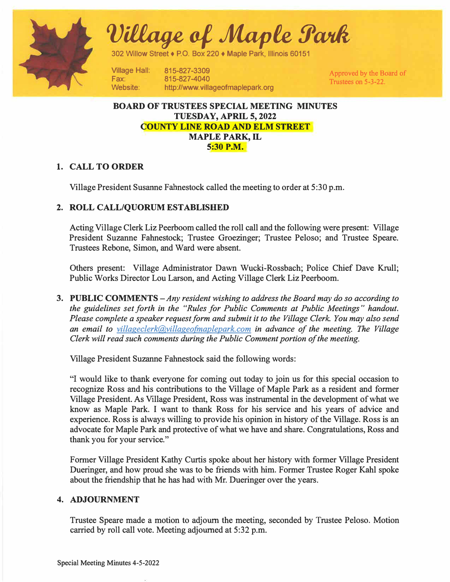

 $\it Village$  of Maple Park

302 Willow Street• P.O. Box 220 ♦ Maple Park, Illinois 60151

Village Hall: Fax: Website:

815-827-3309 815-827-4040 http://www.villageofmaplepark.org

Approved by the Board of Trustees on 5-3-22.

## **BOARD OF TRUSTEES SPECIAL MEETING MINUTES TUESDAY, APRIL 5, 2022 COUNTY LINE ROAD AND ELM STREET MAPLE PARK, IL 5:30 P.M.**

# **1. CALL TO ORDER**

Village President Susanne Fahnestock called the meeting to order at 5:30 p.m.

# **2. ROLL CALL/QUORUM ESTABLISHED**

Acting Village Clerk Liz Peerboom called the roll call and the following were present: Village President Suzanne Fahnestock; Trustee Groezinger; Trustee Peloso; and Trustee Speare. Trustees Rebone, Simon, and Ward were absent.

Others present: Village Administrator Dawn Wucki-Rossbach; Police Chief Dave Krull; Public Works Director Lou Larson, and Acting Village Clerk Liz Peerboom.

**3. PUBLIC COMMENTS** *-Any resident wishing to address the Board may do so according to the guidelines set forth in the "Rules for Public Comments at Public Meetings" handout. Please complete a speaker request form and submit it to the Village Clerk. You may also send an email to villageclerk@villageofinaplepark.com in advance of the meeting. The Village Clerk will read such comments during the Public Comment portion of the meeting.*

Village President Suzanne Fahnestock said the following words:

"I would like to thank everyone for coming out today to join us for this special occasion to recognize Ross and his contributions to the Village of Maple Park as a resident and former Village President. As Village President, Ross was instrumental in the development of what we know as Maple Park. I want to thank Ross for his service and his years of advice and experience. Ross is always willing to provide his opinion in history of the Village. Ross is an advocate for Maple Park and protective of what we have and share. Congratulations, Ross and thank you for your service."

Former Village President Kathy Curtis spoke about her history with former Village President Dueringer, and how proud she was to be friends with him. Former Trustee Roger Kahl spoke about the friendship that he has had with Mr. Dueringer over the years.

### **4. ADJOURNMENT**

Trustee Speare made a motion to adjourn the meeting, seconded by Trustee Peloso. Motion carried by roll call vote. Meeting adjourned at 5:32 p.m.